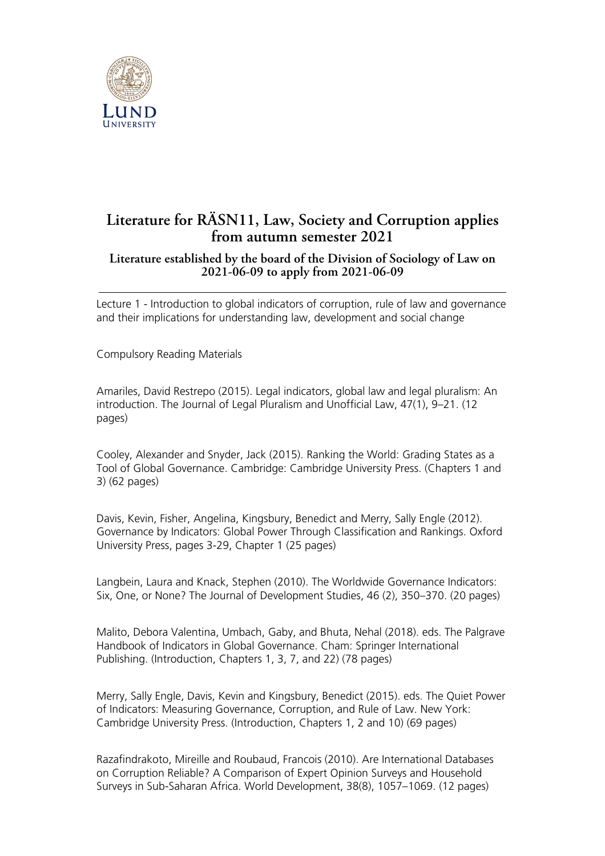

## **Literature for RÄSN11, Law, Society and Corruption applies from autumn semester 2021**

## **Literature established by the board of the Division of Sociology of Law on 2021-06-09 to apply from 2021-06-09**

Lecture 1 - Introduction to global indicators of corruption, rule of law and governance and their implications for understanding law, development and social change

Compulsory Reading Materials

Amariles, David Restrepo (2015). Legal indicators, global law and legal pluralism: An introduction. The Journal of Legal Pluralism and Unofficial Law, 47(1), 9–21. (12 pages)

Cooley, Alexander and Snyder, Jack (2015). Ranking the World: Grading States as a Tool of Global Governance. Cambridge: Cambridge University Press. (Chapters 1 and 3) (62 pages)

Davis, Kevin, Fisher, Angelina, Kingsbury, Benedict and Merry, Sally Engle (2012). Governance by Indicators: Global Power Through Classification and Rankings. Oxford University Press, pages 3-29, Chapter 1 (25 pages)

Langbein, Laura and Knack, Stephen (2010). The Worldwide Governance Indicators: Six, One, or None? The Journal of Development Studies, 46 (2), 350–370. (20 pages)

Malito, Debora Valentina, Umbach, Gaby, and Bhuta, Nehal (2018). eds. The Palgrave Handbook of Indicators in Global Governance. Cham: Springer International Publishing. (Introduction, Chapters 1, 3, 7, and 22) (78 pages)

Merry, Sally Engle, Davis, Kevin and Kingsbury, Benedict (2015). eds. The Quiet Power of Indicators: Measuring Governance, Corruption, and Rule of Law. New York: Cambridge University Press. (Introduction, Chapters 1, 2 and 10) (69 pages)

Razafindrakoto, Mireille and Roubaud, Francois (2010). Are International Databases on Corruption Reliable? A Comparison of Expert Opinion Surveys and Household Surveys in Sub-Saharan Africa. World Development, 38(8), 1057–1069. (12 pages)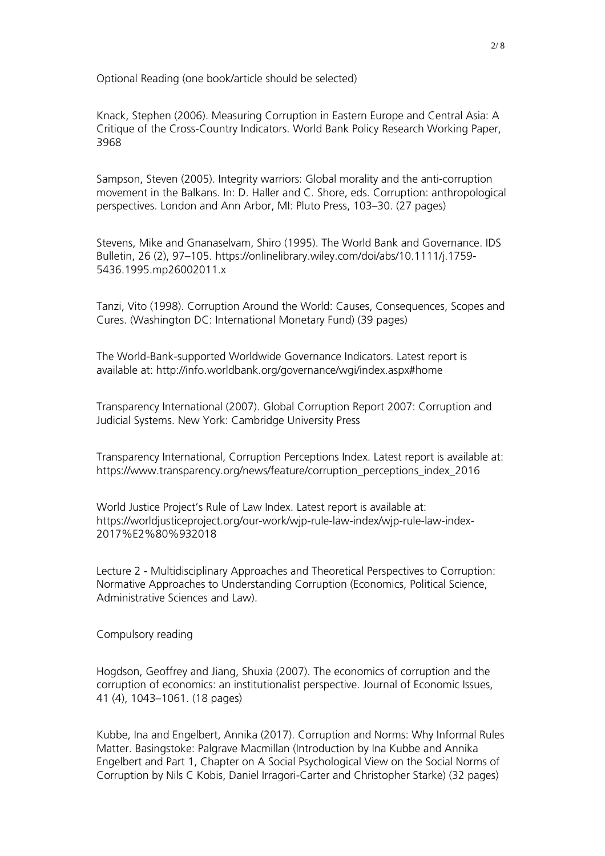Optional Reading (one book/article should be selected)

Knack, Stephen (2006). Measuring Corruption in Eastern Europe and Central Asia: A Critique of the Cross-Country Indicators. World Bank Policy Research Working Paper, 3968

Sampson, Steven (2005). Integrity warriors: Global morality and the anti-corruption movement in the Balkans. In: D. Haller and C. Shore, eds. Corruption: anthropological perspectives. London and Ann Arbor, MI: Pluto Press, 103–30. (27 pages)

Stevens, Mike and Gnanaselvam, Shiro (1995). The World Bank and Governance. IDS Bulletin, 26 (2), 97–105. https://onlinelibrary.wiley.com/doi/abs/10.1111/j.1759- 5436.1995.mp26002011.x

Tanzi, Vito (1998). Corruption Around the World: Causes, Consequences, Scopes and Cures. (Washington DC: International Monetary Fund) (39 pages)

The World-Bank-supported Worldwide Governance Indicators. Latest report is available at: http://info.worldbank.org/governance/wgi/index.aspx#home

Transparency International (2007). Global Corruption Report 2007: Corruption and Judicial Systems. New York: Cambridge University Press

Transparency International, Corruption Perceptions Index. Latest report is available at: https://www.transparency.org/news/feature/corruption\_perceptions\_index\_2016

World Justice Project's Rule of Law Index. Latest report is available at: https://worldjusticeproject.org/our-work/wjp-rule-law-index/wjp-rule-law-index-2017%E2%80%932018

Lecture 2 - Multidisciplinary Approaches and Theoretical Perspectives to Corruption: Normative Approaches to Understanding Corruption (Economics, Political Science, Administrative Sciences and Law).

Compulsory reading

Hogdson, Geoffrey and Jiang, Shuxia (2007). The economics of corruption and the corruption of economics: an institutionalist perspective. Journal of Economic Issues, 41 (4), 1043–1061. (18 pages)

Kubbe, Ina and Engelbert, Annika (2017). Corruption and Norms: Why Informal Rules Matter. Basingstoke: Palgrave Macmillan (Introduction by Ina Kubbe and Annika Engelbert and Part 1, Chapter on A Social Psychological View on the Social Norms of Corruption by Nils C Kobis, Daniel Irragori-Carter and Christopher Starke) (32 pages)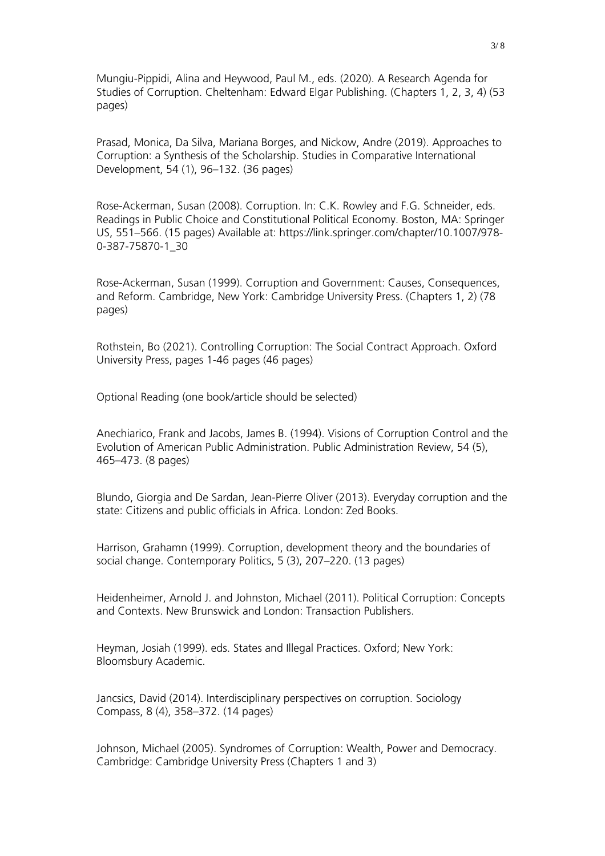Mungiu-Pippidi, Alina and Heywood, Paul M., eds. (2020). A Research Agenda for Studies of Corruption. Cheltenham: Edward Elgar Publishing. (Chapters 1, 2, 3, 4) (53 pages)

Prasad, Monica, Da Silva, Mariana Borges, and Nickow, Andre (2019). Approaches to Corruption: a Synthesis of the Scholarship. Studies in Comparative International Development, 54 (1), 96–132. (36 pages)

Rose-Ackerman, Susan (2008). Corruption. In: C.K. Rowley and F.G. Schneider, eds. Readings in Public Choice and Constitutional Political Economy. Boston, MA: Springer US, 551–566. (15 pages) Available at: https://link.springer.com/chapter/10.1007/978- 0-387-75870-1\_30

Rose-Ackerman, Susan (1999). Corruption and Government: Causes, Consequences, and Reform. Cambridge, New York: Cambridge University Press. (Chapters 1, 2) (78 pages)

Rothstein, Bo (2021). Controlling Corruption: The Social Contract Approach. Oxford University Press, pages 1-46 pages (46 pages)

Optional Reading (one book/article should be selected)

Anechiarico, Frank and Jacobs, James B. (1994). Visions of Corruption Control and the Evolution of American Public Administration. Public Administration Review, 54 (5), 465–473. (8 pages)

Blundo, Giorgia and De Sardan, Jean-Pierre Oliver (2013). Everyday corruption and the state: Citizens and public officials in Africa. London: Zed Books.

Harrison, Grahamn (1999). Corruption, development theory and the boundaries of social change. Contemporary Politics, 5 (3), 207–220. (13 pages)

Heidenheimer, Arnold J. and Johnston, Michael (2011). Political Corruption: Concepts and Contexts. New Brunswick and London: Transaction Publishers.

Heyman, Josiah (1999). eds. States and Illegal Practices. Oxford; New York: Bloomsbury Academic.

Jancsics, David (2014). Interdisciplinary perspectives on corruption. Sociology Compass, 8 (4), 358–372. (14 pages)

Johnson, Michael (2005). Syndromes of Corruption: Wealth, Power and Democracy. Cambridge: Cambridge University Press (Chapters 1 and 3)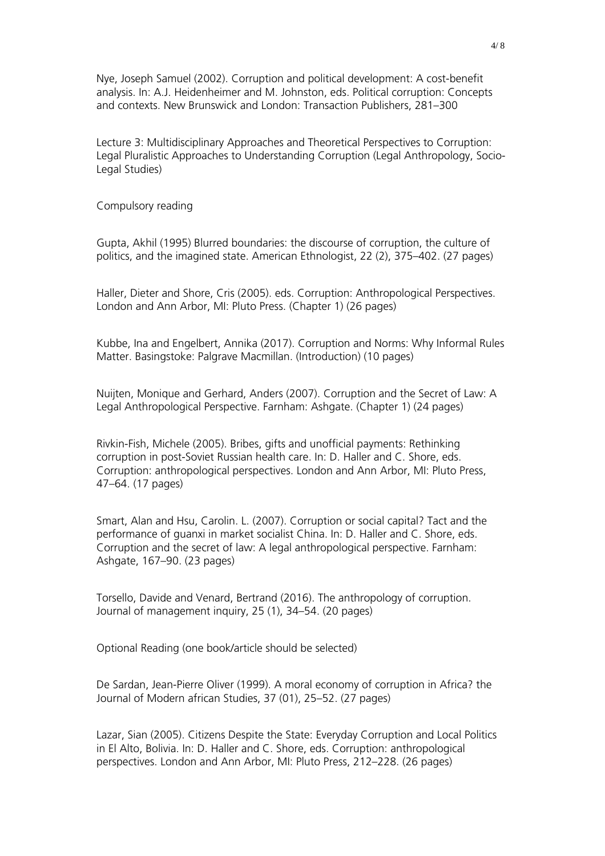Nye, Joseph Samuel (2002). Corruption and political development: A cost-benefit analysis. In: A.J. Heidenheimer and M. Johnston, eds. Political corruption: Concepts and contexts. New Brunswick and London: Transaction Publishers, 281–300

Lecture 3: Multidisciplinary Approaches and Theoretical Perspectives to Corruption: Legal Pluralistic Approaches to Understanding Corruption (Legal Anthropology, Socio-Legal Studies)

Compulsory reading

Gupta, Akhil (1995) Blurred boundaries: the discourse of corruption, the culture of politics, and the imagined state. American Ethnologist, 22 (2), 375–402. (27 pages)

Haller, Dieter and Shore, Cris (2005). eds. Corruption: Anthropological Perspectives. London and Ann Arbor, MI: Pluto Press. (Chapter 1) (26 pages)

Kubbe, Ina and Engelbert, Annika (2017). Corruption and Norms: Why Informal Rules Matter. Basingstoke: Palgrave Macmillan. (Introduction) (10 pages)

Nuijten, Monique and Gerhard, Anders (2007). Corruption and the Secret of Law: A Legal Anthropological Perspective. Farnham: Ashgate. (Chapter 1) (24 pages)

Rivkin-Fish, Michele (2005). Bribes, gifts and unofficial payments: Rethinking corruption in post-Soviet Russian health care. In: D. Haller and C. Shore, eds. Corruption: anthropological perspectives. London and Ann Arbor, MI: Pluto Press, 47–64. (17 pages)

Smart, Alan and Hsu, Carolin. L. (2007). Corruption or social capital? Tact and the performance of guanxi in market socialist China. In: D. Haller and C. Shore, eds. Corruption and the secret of law: A legal anthropological perspective. Farnham: Ashgate, 167–90. (23 pages)

Torsello, Davide and Venard, Bertrand (2016). The anthropology of corruption. Journal of management inquiry, 25 (1), 34–54. (20 pages)

Optional Reading (one book/article should be selected)

De Sardan, Jean-Pierre Oliver (1999). A moral economy of corruption in Africa? the Journal of Modern african Studies, 37 (01), 25–52. (27 pages)

Lazar, Sian (2005). Citizens Despite the State: Everyday Corruption and Local Politics in El Alto, Bolivia. In: D. Haller and C. Shore, eds. Corruption: anthropological perspectives. London and Ann Arbor, MI: Pluto Press, 212–228. (26 pages)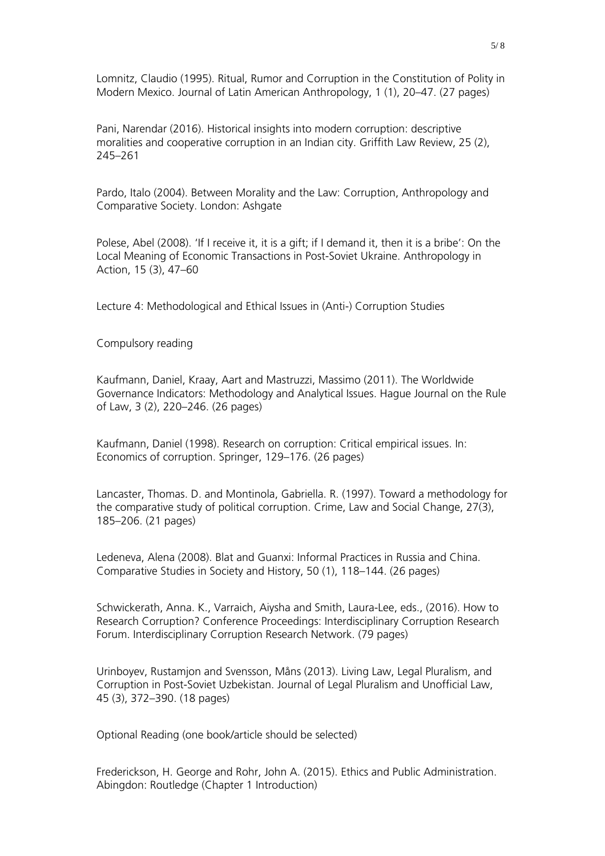Lomnitz, Claudio (1995). Ritual, Rumor and Corruption in the Constitution of Polity in Modern Mexico. Journal of Latin American Anthropology, 1 (1), 20–47. (27 pages)

Pani, Narendar (2016). Historical insights into modern corruption: descriptive moralities and cooperative corruption in an Indian city. Griffith Law Review, 25 (2), 245–261

Pardo, Italo (2004). Between Morality and the Law: Corruption, Anthropology and Comparative Society. London: Ashgate

Polese, Abel (2008). 'If I receive it, it is a gift; if I demand it, then it is a bribe': On the Local Meaning of Economic Transactions in Post-Soviet Ukraine. Anthropology in Action, 15 (3), 47–60

Lecture 4: Methodological and Ethical Issues in (Anti-) Corruption Studies

Compulsory reading

Kaufmann, Daniel, Kraay, Aart and Mastruzzi, Massimo (2011). The Worldwide Governance Indicators: Methodology and Analytical Issues. Hague Journal on the Rule of Law, 3 (2), 220–246. (26 pages)

Kaufmann, Daniel (1998). Research on corruption: Critical empirical issues. In: Economics of corruption. Springer, 129–176. (26 pages)

Lancaster, Thomas. D. and Montinola, Gabriella. R. (1997). Toward a methodology for the comparative study of political corruption. Crime, Law and Social Change, 27(3), 185–206. (21 pages)

Ledeneva, Alena (2008). Blat and Guanxi: Informal Practices in Russia and China. Comparative Studies in Society and History, 50 (1), 118–144. (26 pages)

Schwickerath, Anna. K., Varraich, Aiysha and Smith, Laura-Lee, eds., (2016). How to Research Corruption? Conference Proceedings: Interdisciplinary Corruption Research Forum. Interdisciplinary Corruption Research Network. (79 pages)

Urinboyev, Rustamjon and Svensson, Måns (2013). Living Law, Legal Pluralism, and Corruption in Post-Soviet Uzbekistan. Journal of Legal Pluralism and Unofficial Law, 45 (3), 372–390. (18 pages)

Optional Reading (one book/article should be selected)

Frederickson, H. George and Rohr, John A. (2015). Ethics and Public Administration. Abingdon: Routledge (Chapter 1 Introduction)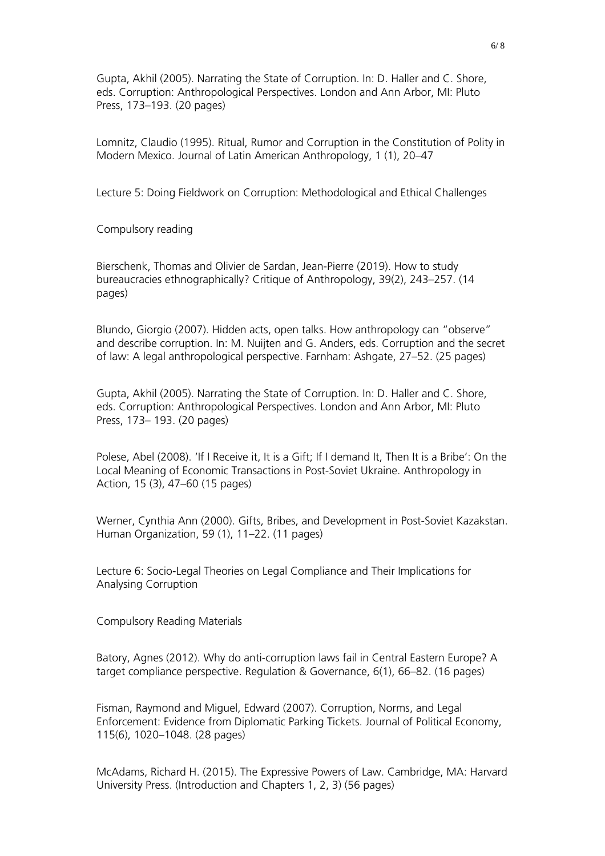Gupta, Akhil (2005). Narrating the State of Corruption. In: D. Haller and C. Shore, eds. Corruption: Anthropological Perspectives. London and Ann Arbor, MI: Pluto Press, 173–193. (20 pages)

Lomnitz, Claudio (1995). Ritual, Rumor and Corruption in the Constitution of Polity in Modern Mexico. Journal of Latin American Anthropology, 1 (1), 20–47

Lecture 5: Doing Fieldwork on Corruption: Methodological and Ethical Challenges

Compulsory reading

Bierschenk, Thomas and Olivier de Sardan, Jean-Pierre (2019). How to study bureaucracies ethnographically? Critique of Anthropology, 39(2), 243–257. (14 pages)

Blundo, Giorgio (2007). Hidden acts, open talks. How anthropology can "observe" and describe corruption. In: M. Nuijten and G. Anders, eds. Corruption and the secret of law: A legal anthropological perspective. Farnham: Ashgate, 27–52. (25 pages)

Gupta, Akhil (2005). Narrating the State of Corruption. In: D. Haller and C. Shore, eds. Corruption: Anthropological Perspectives. London and Ann Arbor, MI: Pluto Press, 173– 193. (20 pages)

Polese, Abel (2008). 'If I Receive it, It is a Gift; If I demand It, Then It is a Bribe': On the Local Meaning of Economic Transactions in Post-Soviet Ukraine. Anthropology in Action, 15 (3), 47–60 (15 pages)

Werner, Cynthia Ann (2000). Gifts, Bribes, and Development in Post-Soviet Kazakstan. Human Organization, 59 (1), 11–22. (11 pages)

Lecture 6: Socio-Legal Theories on Legal Compliance and Their Implications for Analysing Corruption

Compulsory Reading Materials

Batory, Agnes (2012). Why do anti-corruption laws fail in Central Eastern Europe? A target compliance perspective. Regulation & Governance, 6(1), 66–82. (16 pages)

Fisman, Raymond and Miguel, Edward (2007). Corruption, Norms, and Legal Enforcement: Evidence from Diplomatic Parking Tickets. Journal of Political Economy, 115(6), 1020–1048. (28 pages)

McAdams, Richard H. (2015). The Expressive Powers of Law. Cambridge, MA: Harvard University Press. (Introduction and Chapters 1, 2, 3) (56 pages)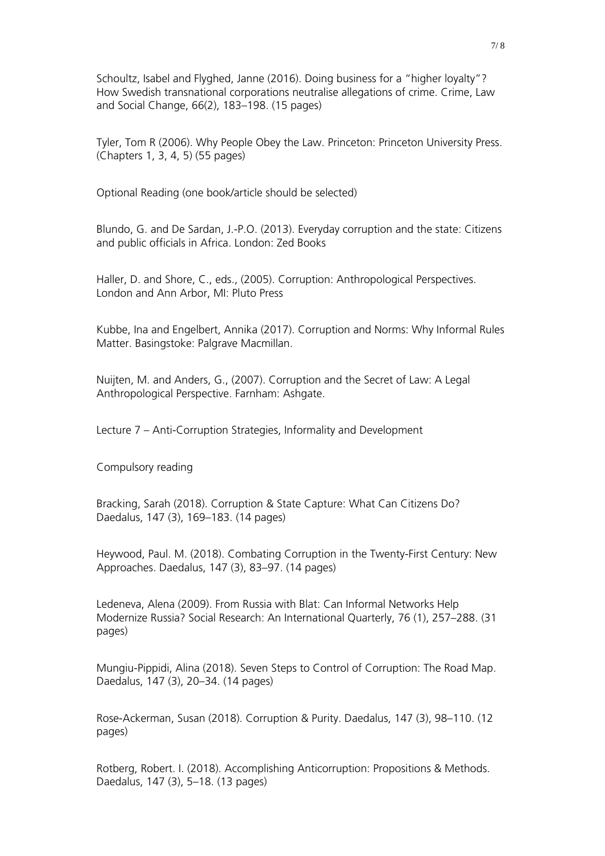Schoultz, Isabel and Flyghed, Janne (2016). Doing business for a "higher loyalty"? How Swedish transnational corporations neutralise allegations of crime. Crime, Law and Social Change, 66(2), 183–198. (15 pages)

Tyler, Tom R (2006). Why People Obey the Law. Princeton: Princeton University Press. (Chapters 1, 3, 4, 5) (55 pages)

Optional Reading (one book/article should be selected)

Blundo, G. and De Sardan, J.-P.O. (2013). Everyday corruption and the state: Citizens and public officials in Africa. London: Zed Books

Haller, D. and Shore, C., eds., (2005). Corruption: Anthropological Perspectives. London and Ann Arbor, MI: Pluto Press

Kubbe, Ina and Engelbert, Annika (2017). Corruption and Norms: Why Informal Rules Matter. Basingstoke: Palgrave Macmillan.

Nuijten, M. and Anders, G., (2007). Corruption and the Secret of Law: A Legal Anthropological Perspective. Farnham: Ashgate.

Lecture 7 – Anti-Corruption Strategies, Informality and Development

Compulsory reading

Bracking, Sarah (2018). Corruption & State Capture: What Can Citizens Do? Daedalus, 147 (3), 169–183. (14 pages)

Heywood, Paul. M. (2018). Combating Corruption in the Twenty-First Century: New Approaches. Daedalus, 147 (3), 83–97. (14 pages)

Ledeneva, Alena (2009). From Russia with Blat: Can Informal Networks Help Modernize Russia? Social Research: An International Quarterly, 76 (1), 257–288. (31 pages)

Mungiu-Pippidi, Alina (2018). Seven Steps to Control of Corruption: The Road Map. Daedalus, 147 (3), 20–34. (14 pages)

Rose-Ackerman, Susan (2018). Corruption & Purity. Daedalus, 147 (3), 98–110. (12 pages)

Rotberg, Robert. I. (2018). Accomplishing Anticorruption: Propositions & Methods. Daedalus, 147 (3), 5–18. (13 pages)